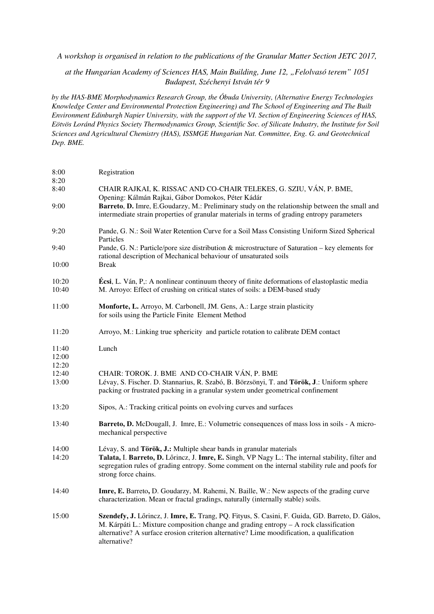*A workshop is organised in relation to the publications of the Granular Matter Section JETC 2017,* 

*at the Hungarian Academy of Sciences HAS, Main Building, June 12, "Felolvasó terem" 1051 Budapest, Széchenyi István tér 9* 

*by the HAS-BME Morphodynamics Research Group, the Óbuda University, (Alternative Energy Technologies Knowledge Center and Environmental Protection Engineering) and The School of Engineering and The Built Environment Edinburgh Napier University, with the support of the VI. Section of Engineering Sciences of HAS, Eötvös Loránd Physics Society Thermodynamics Group, Scientific Soc. of Silicate Industry, the Institute for Soil Sciences and Agricultural Chemistry (HAS), ISSMGE Hungarian Nat. Committee, Eng. G. and Geotechnical Dep. BME.* 

| 8:00<br>8:20   | Registration                                                                                                                                                                                                                                                                                           |
|----------------|--------------------------------------------------------------------------------------------------------------------------------------------------------------------------------------------------------------------------------------------------------------------------------------------------------|
| 8:40           | CHAIR RAJKAI, K. RISSAC AND CO-CHAIR TELEKES, G. SZIU, VÁN, P. BME,<br>Opening: Kálmán Rajkai, Gábor Domokos, Péter Kádár                                                                                                                                                                              |
| 9:00           | Barreto, D. Imre, E.Goudarzy, M.: Preliminary study on the relationship between the small and<br>intermediate strain properties of granular materials in terms of grading entropy parameters                                                                                                           |
| 9:20           | Pande, G. N.: Soil Water Retention Curve for a Soil Mass Consisting Uniform Sized Spherical<br>Particles                                                                                                                                                                                               |
| 9:40           | Pande, G. N.: Particle/pore size distribution & microstructure of Saturation – key elements for<br>rational description of Mechanical behaviour of unsaturated soils                                                                                                                                   |
| 10:00          | <b>Break</b>                                                                                                                                                                                                                                                                                           |
| 10:20<br>10:40 | <b>Écsi</b> , L. Ván, P <sub>i</sub> : A nonlinear continuum theory of finite deformations of elastoplastic media<br>M. Arroyo: Effect of crushing on critical states of soils: a DEM-based study                                                                                                      |
| 11:00          | Monforte, L. Arroyo, M. Carbonell, JM. Gens, A.: Large strain plasticity<br>for soils using the Particle Finite Element Method                                                                                                                                                                         |
| 11:20          | Arroyo, M.: Linking true sphericity and particle rotation to calibrate DEM contact                                                                                                                                                                                                                     |
| 11:40          | Lunch                                                                                                                                                                                                                                                                                                  |
| 12:00          |                                                                                                                                                                                                                                                                                                        |
| 12:20<br>12:40 | CHAIR: TOROK. J. BME AND CO-CHAIR VÁN, P. BME                                                                                                                                                                                                                                                          |
| 13:00          | Lévay, S. Fischer. D. Stannarius, R. Szabó, B. Börzsönyi, T. and Török, J.: Uniform sphere<br>packing or frustrated packing in a granular system under geometrical confinement                                                                                                                         |
| 13:20          | Sipos, A.: Tracking critical points on evolving curves and surfaces                                                                                                                                                                                                                                    |
| 13:40          | <b>Barreto, D.</b> McDougall, J. Imre, E.: Volumetric consequences of mass loss in soils - A micro-<br>mechanical perspective                                                                                                                                                                          |
| 14:00          | Lévay, S. and Török, J.: Multiple shear bands in granular materials                                                                                                                                                                                                                                    |
| 14:20          | Talata, I. Barreto, D. Lőrincz, J. Imre, E. Singh, VP Nagy L.: The internal stability, filter and<br>segregation rules of grading entropy. Some comment on the internal stability rule and poofs for<br>strong force chains.                                                                           |
| 14:40          | Imre, E. Barreto, D. Goudarzy, M. Rahemi, N. Baille, W.: New aspects of the grading curve<br>characterization. Mean or fractal gradings, naturally (internally stable) soils.                                                                                                                          |
| 15:00          | Szendefy, J. Lőrincz, J. Imre, E. Trang, PQ. Fityus, S. Casini, F. Guida, GD. Barreto, D. Gálos,<br>M. Kárpáti L.: Mixture composition change and grading entropy - A rock classification<br>alternative? A surface erosion criterion alternative? Lime moodification, a qualification<br>alternative? |